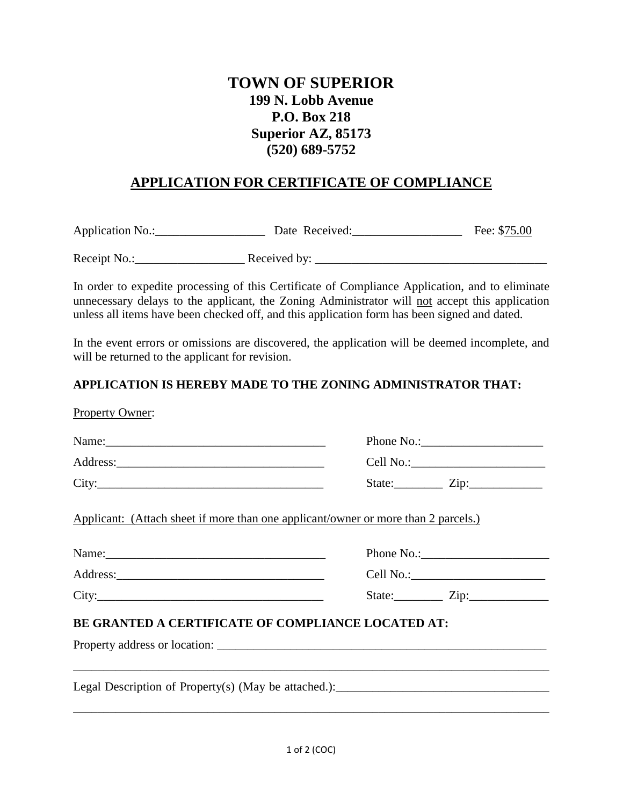# **TOWN OF SUPERIOR 199 N. Lobb Avenue P.O. Box 218 Superior AZ, 85173 (520) 689-5752**

## **APPLICATION FOR CERTIFICATE OF COMPLIANCE**

Application No.: Date Received: Fee: \$75.00

Receipt No.:\_\_\_\_\_\_\_\_\_\_\_\_\_\_\_\_\_\_ Received by: \_\_\_\_\_\_\_\_\_\_\_\_\_\_\_\_\_\_\_\_\_\_\_\_\_\_\_\_\_\_\_\_\_\_\_\_\_\_

In order to expedite processing of this Certificate of Compliance Application, and to eliminate unnecessary delays to the applicant, the Zoning Administrator will not accept this application unless all items have been checked off, and this application form has been signed and dated.

In the event errors or omissions are discovered, the application will be deemed incomplete, and will be returned to the applicant for revision.

### **APPLICATION IS HEREBY MADE TO THE ZONING ADMINISTRATOR THAT:**

|                                                    | State: <u>Zip:</u>                                                                 |
|----------------------------------------------------|------------------------------------------------------------------------------------|
|                                                    | Applicant: (Attach sheet if more than one applicant/owner or more than 2 parcels.) |
|                                                    |                                                                                    |
|                                                    |                                                                                    |
| City:                                              | State: $\angle Zip:$                                                               |
| BE GRANTED A CERTIFICATE OF COMPLIANCE LOCATED AT: |                                                                                    |
|                                                    |                                                                                    |